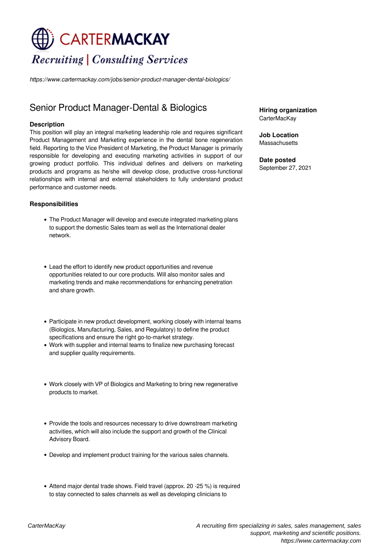# CARTERMACKAY **Recruiting | Consulting Services**

*https://www.cartermackay.com/jobs/senior-product-manager-dental-biologics/*

## Senior Product Manager-Dental & Biologics

#### **Description**

This position will play an integral marketing leadership role and requires significant Product Management and Marketing experience in the dental bone regeneration field. Reporting to the Vice President of Marketing, the Product Manager is primarily responsible for developing and executing marketing activities in support of our growing product portfolio. This individual defines and delivers on marketing products and programs as he/she will develop close, productive cross-functional relationships with internal and external stakeholders to fully understand product performance and customer needs.

#### **Responsibilities**

- The Product Manager will develop and execute integrated marketing plans to support the domestic Sales team as well as the International dealer network.
- Lead the effort to identify new product opportunities and revenue opportunities related to our core products. Will also monitor sales and marketing trends and make recommendations for enhancing penetration and share growth.
- Participate in new product development, working closely with internal teams (Biologics, Manufacturing, Sales, and Regulatory) to define the product specifications and ensure the right go-to-market strategy.
- Work with supplier and internal teams to finalize new purchasing forecast and supplier quality requirements.
- Work closely with VP of Biologics and Marketing to bring new regenerative products to market.
- Provide the tools and resources necessary to drive downstream marketing activities, which will also include the support and growth of the Clinical Advisory Board.
- Develop and implement product training for the various sales channels.
- Attend major dental trade shows. Field travel (approx. 20 -25 %) is required to stay connected to sales channels as well as developing clinicians to

**Hiring organization** CarterMacKay

**Job Location Massachusetts** 

**Date posted** September 27, 2021